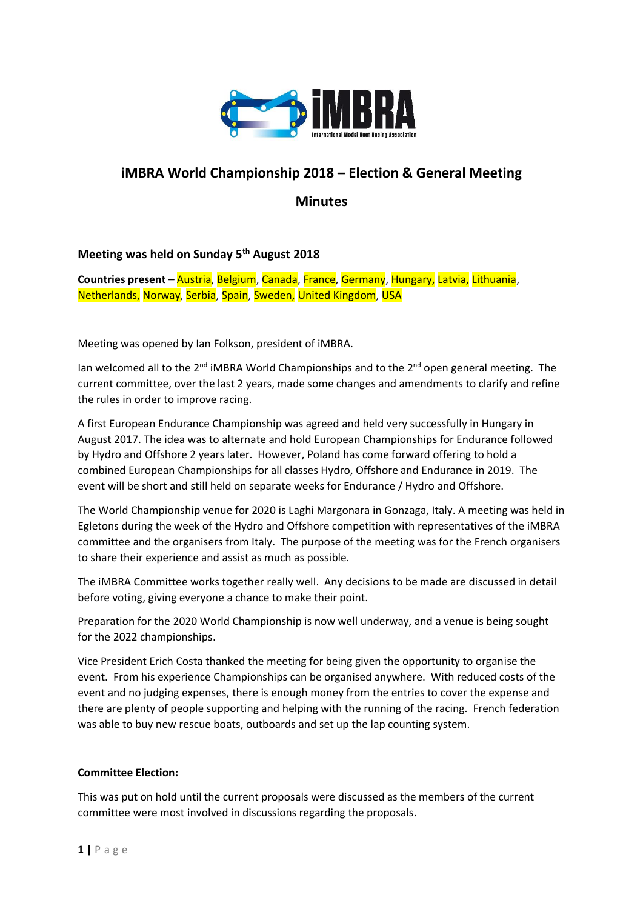

# **iMBRA World Championship 2018 – Election & General Meeting**

# **Minutes**

### **Meeting was held on Sunday 5th August 2018**

**Countries present** – Austria, Belgium, Canada, France, Germany, Hungary, Latvia, Lithuania, Netherlands, Norway, Serbia, Spain, Sweden, United Kingdom, USA

Meeting was opened by Ian Folkson, president of iMBRA.

lan welcomed all to the 2<sup>nd</sup> iMBRA World Championships and to the 2<sup>nd</sup> open general meeting. The current committee, over the last 2 years, made some changes and amendments to clarify and refine the rules in order to improve racing.

A first European Endurance Championship was agreed and held very successfully in Hungary in August 2017. The idea was to alternate and hold European Championships for Endurance followed by Hydro and Offshore 2 years later. However, Poland has come forward offering to hold a combined European Championships for all classes Hydro, Offshore and Endurance in 2019. The event will be short and still held on separate weeks for Endurance / Hydro and Offshore.

The World Championship venue for 2020 is Laghi Margonara in Gonzaga, Italy. A meeting was held in Egletons during the week of the Hydro and Offshore competition with representatives of the iMBRA committee and the organisers from Italy. The purpose of the meeting was for the French organisers to share their experience and assist as much as possible.

The iMBRA Committee works together really well. Any decisions to be made are discussed in detail before voting, giving everyone a chance to make their point.

Preparation for the 2020 World Championship is now well underway, and a venue is being sought for the 2022 championships.

Vice President Erich Costa thanked the meeting for being given the opportunity to organise the event. From his experience Championships can be organised anywhere. With reduced costs of the event and no judging expenses, there is enough money from the entries to cover the expense and there are plenty of people supporting and helping with the running of the racing. French federation was able to buy new rescue boats, outboards and set up the lap counting system.

### **Committee Election:**

This was put on hold until the current proposals were discussed as the members of the current committee were most involved in discussions regarding the proposals.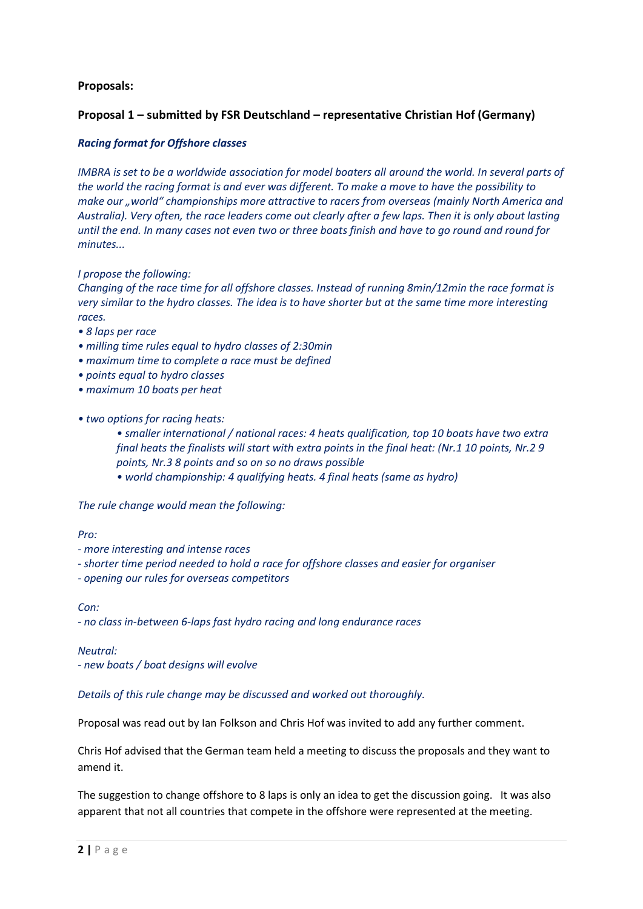## **Proposals:**

### **Proposal 1 – submitted by FSR Deutschland – representative Christian Hof (Germany)**

### *Racing format for Offshore classes*

*IMBRA is set to be a worldwide association for model boaters all around the world. In several parts of the world the racing format is and ever was different. To make a move to have the possibility to make our "world" championships more attractive to racers from overseas (mainly North America and Australia). Very often, the race leaders come out clearly after a few laps. Then it is only about lasting until the end. In many cases not even two or three boats finish and have to go round and round for minutes...* 

### *I propose the following:*

*Changing of the race time for all offshore classes. Instead of running 8min/12min the race format is very similar to the hydro classes. The idea is to have shorter but at the same time more interesting races.* 

- *8 laps per race*
- *milling time rules equal to hydro classes of 2:30min*
- *maximum time to complete a race must be defined*
- *points equal to hydro classes*
- *maximum 10 boats per heat*

*• two options for racing heats:* 

*• smaller international / national races: 4 heats qualification, top 10 boats have two extra final heats the finalists will start with extra points in the final heat: (Nr.1 10 points, Nr.2 9 points, Nr.3 8 points and so on so no draws possible* 

*• world championship: 4 qualifying heats. 4 final heats (same as hydro)* 

*The rule change would mean the following:* 

### *Pro:*

- *- more interesting and intense races*
- *- shorter time period needed to hold a race for offshore classes and easier for organiser*
- *- opening our rules for overseas competitors*

### *Con:*

*- no class in-between 6-laps fast hydro racing and long endurance races* 

### *Neutral:*

*- new boats / boat designs will evolve* 

*Details of this rule change may be discussed and worked out thoroughly.*

Proposal was read out by Ian Folkson and Chris Hof was invited to add any further comment.

Chris Hof advised that the German team held a meeting to discuss the proposals and they want to amend it.

The suggestion to change offshore to 8 laps is only an idea to get the discussion going. It was also apparent that not all countries that compete in the offshore were represented at the meeting.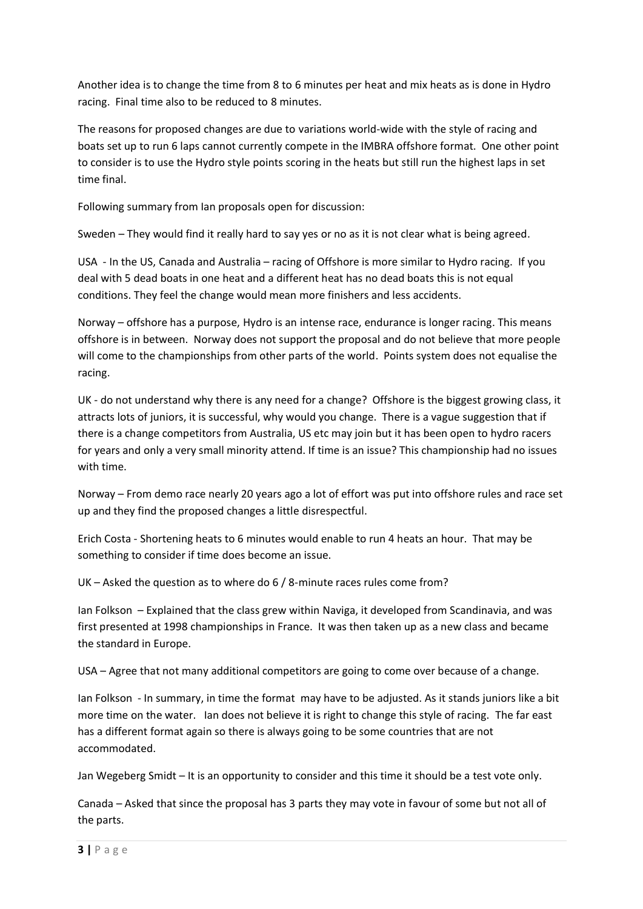Another idea is to change the time from 8 to 6 minutes per heat and mix heats as is done in Hydro racing. Final time also to be reduced to 8 minutes.

The reasons for proposed changes are due to variations world-wide with the style of racing and boats set up to run 6 laps cannot currently compete in the IMBRA offshore format. One other point to consider is to use the Hydro style points scoring in the heats but still run the highest laps in set time final.

Following summary from Ian proposals open for discussion:

Sweden – They would find it really hard to say yes or no as it is not clear what is being agreed.

USA - In the US, Canada and Australia – racing of Offshore is more similar to Hydro racing. If you deal with 5 dead boats in one heat and a different heat has no dead boats this is not equal conditions. They feel the change would mean more finishers and less accidents.

Norway – offshore has a purpose, Hydro is an intense race, endurance is longer racing. This means offshore is in between. Norway does not support the proposal and do not believe that more people will come to the championships from other parts of the world. Points system does not equalise the racing.

UK - do not understand why there is any need for a change? Offshore is the biggest growing class, it attracts lots of juniors, it is successful, why would you change. There is a vague suggestion that if there is a change competitors from Australia, US etc may join but it has been open to hydro racers for years and only a very small minority attend. If time is an issue? This championship had no issues with time.

Norway – From demo race nearly 20 years ago a lot of effort was put into offshore rules and race set up and they find the proposed changes a little disrespectful.

Erich Costa - Shortening heats to 6 minutes would enable to run 4 heats an hour. That may be something to consider if time does become an issue.

UK – Asked the question as to where do 6 / 8-minute races rules come from?

Ian Folkson – Explained that the class grew within Naviga, it developed from Scandinavia, and was first presented at 1998 championships in France. It was then taken up as a new class and became the standard in Europe.

USA – Agree that not many additional competitors are going to come over because of a change.

Ian Folkson - In summary, in time the format may have to be adjusted. As it stands juniors like a bit more time on the water. Ian does not believe it is right to change this style of racing. The far east has a different format again so there is always going to be some countries that are not accommodated.

Jan Wegeberg Smidt – It is an opportunity to consider and this time it should be a test vote only.

Canada – Asked that since the proposal has 3 parts they may vote in favour of some but not all of the parts.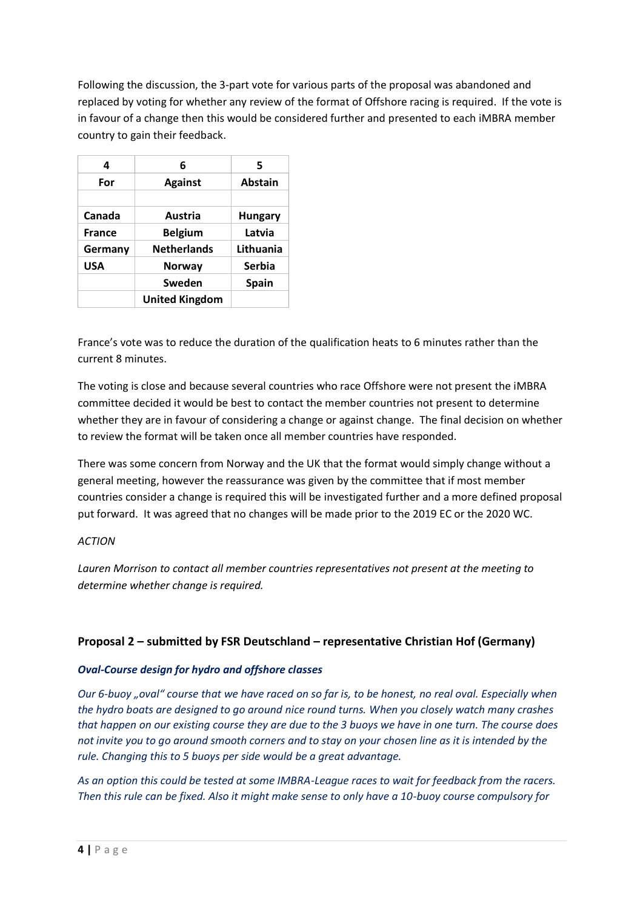Following the discussion, the 3-part vote for various parts of the proposal was abandoned and replaced by voting for whether any review of the format of Offshore racing is required. If the vote is in favour of a change then this would be considered further and presented to each iMBRA member country to gain their feedback.

| 4             | 6                     | 5              |
|---------------|-----------------------|----------------|
| For           | <b>Against</b>        | Abstain        |
|               |                       |                |
| Canada        | Austria               | <b>Hungary</b> |
| <b>France</b> | <b>Belgium</b>        | Latvia         |
| Germany       | <b>Netherlands</b>    | Lithuania      |
| <b>USA</b>    | <b>Norway</b>         | Serbia         |
|               | Sweden                | <b>Spain</b>   |
|               | <b>United Kingdom</b> |                |

France's vote was to reduce the duration of the qualification heats to 6 minutes rather than the current 8 minutes.

The voting is close and because several countries who race Offshore were not present the iMBRA committee decided it would be best to contact the member countries not present to determine whether they are in favour of considering a change or against change. The final decision on whether to review the format will be taken once all member countries have responded.

There was some concern from Norway and the UK that the format would simply change without a general meeting, however the reassurance was given by the committee that if most member countries consider a change is required this will be investigated further and a more defined proposal put forward. It was agreed that no changes will be made prior to the 2019 EC or the 2020 WC.

### *ACTION*

*Lauren Morrison to contact all member countries representatives not present at the meeting to determine whether change is required.*

# **Proposal 2 – submitted by FSR Deutschland – representative Christian Hof (Germany)**

### *Oval-Course design for hydro and offshore classes*

*Our 6-buoy "oval" course that we have raced on so far is, to be honest, no real oval. Especially when the hydro boats are designed to go around nice round turns. When you closely watch many crashes that happen on our existing course they are due to the 3 buoys we have in one turn. The course does not invite you to go around smooth corners and to stay on your chosen line as it is intended by the rule. Changing this to 5 buoys per side would be a great advantage.* 

*As an option this could be tested at some IMBRA-League races to wait for feedback from the racers. Then this rule can be fixed. Also it might make sense to only have a 10-buoy course compulsory for*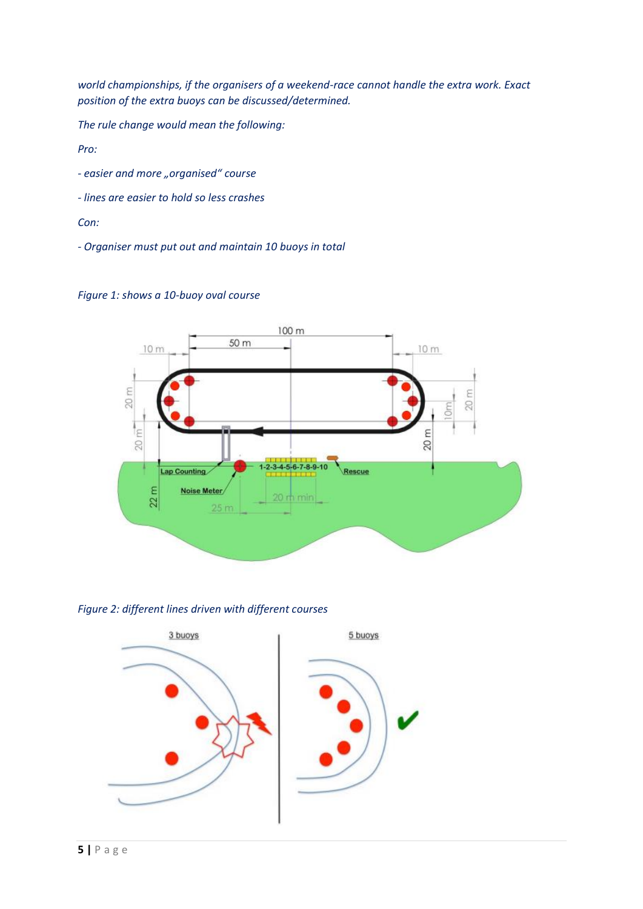*world championships, if the organisers of a weekend-race cannot handle the extra work. Exact position of the extra buoys can be discussed/determined.* 

*The rule change would mean the following:* 

*Pro:* 

- *- easier and more "organised" course*
- *- lines are easier to hold so less crashes*

*Con:* 

*- Organiser must put out and maintain 10 buoys in total* 





*Figure 2: different lines driven with different courses*

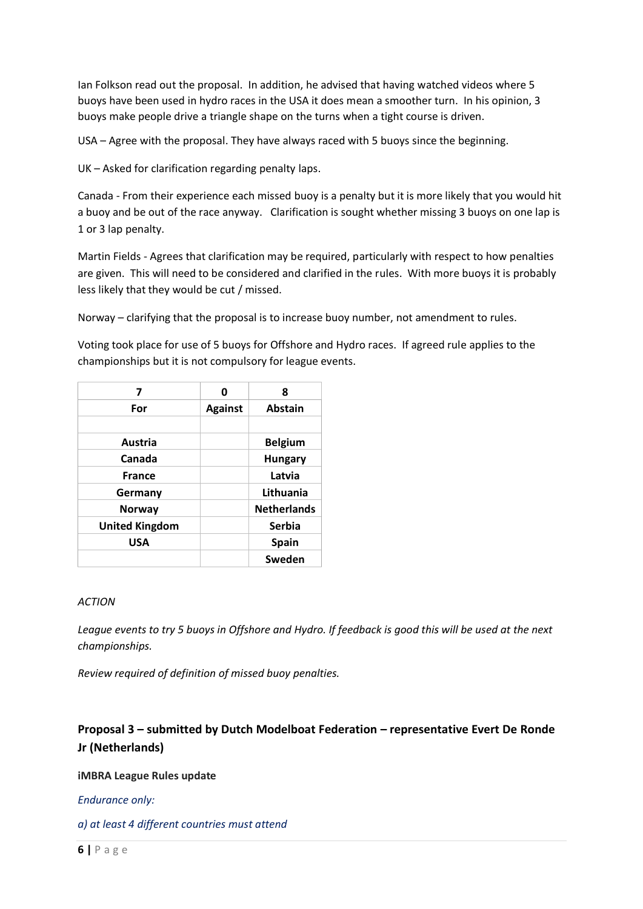Ian Folkson read out the proposal. In addition, he advised that having watched videos where 5 buoys have been used in hydro races in the USA it does mean a smoother turn. In his opinion, 3 buoys make people drive a triangle shape on the turns when a tight course is driven.

USA – Agree with the proposal. They have always raced with 5 buoys since the beginning.

UK – Asked for clarification regarding penalty laps.

Canada - From their experience each missed buoy is a penalty but it is more likely that you would hit a buoy and be out of the race anyway. Clarification is sought whether missing 3 buoys on one lap is 1 or 3 lap penalty.

Martin Fields - Agrees that clarification may be required, particularly with respect to how penalties are given. This will need to be considered and clarified in the rules. With more buoys it is probably less likely that they would be cut / missed.

Norway – clarifying that the proposal is to increase buoy number, not amendment to rules.

Voting took place for use of 5 buoys for Offshore and Hydro races. If agreed rule applies to the championships but it is not compulsory for league events.

|                       |                | 8                  |
|-----------------------|----------------|--------------------|
| For                   | <b>Against</b> | <b>Abstain</b>     |
|                       |                |                    |
| <b>Austria</b>        |                | <b>Belgium</b>     |
| Canada                |                | <b>Hungary</b>     |
| <b>France</b>         |                | Latvia             |
| Germany               |                | Lithuania          |
| <b>Norway</b>         |                | <b>Netherlands</b> |
| <b>United Kingdom</b> |                | <b>Serbia</b>      |
| <b>USA</b>            |                | Spain              |
|                       |                | Sweden             |

### *ACTION*

*League events to try 5 buoys in Offshore and Hydro. If feedback is good this will be used at the next championships.*

*Review required of definition of missed buoy penalties.*

# **Proposal 3 – submitted by Dutch Modelboat Federation – representative Evert De Ronde Jr (Netherlands)**

### **iMBRA League Rules update**

*Endurance only:*

*a) at least 4 different countries must attend*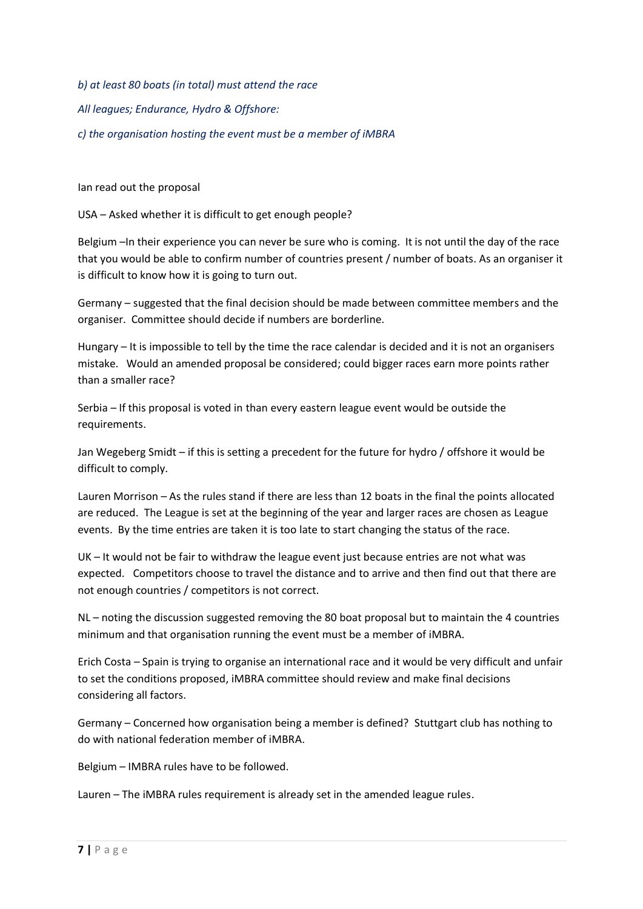*b) at least 80 boats (in total) must attend the race All leagues; Endurance, Hydro & Offshore: c) the organisation hosting the event must be a member of iMBRA*

Ian read out the proposal

USA – Asked whether it is difficult to get enough people?

Belgium –In their experience you can never be sure who is coming. It is not until the day of the race that you would be able to confirm number of countries present / number of boats. As an organiser it is difficult to know how it is going to turn out.

Germany – suggested that the final decision should be made between committee members and the organiser. Committee should decide if numbers are borderline.

Hungary – It is impossible to tell by the time the race calendar is decided and it is not an organisers mistake. Would an amended proposal be considered; could bigger races earn more points rather than a smaller race?

Serbia – If this proposal is voted in than every eastern league event would be outside the requirements.

Jan Wegeberg Smidt – if this is setting a precedent for the future for hydro / offshore it would be difficult to comply.

Lauren Morrison – As the rules stand if there are less than 12 boats in the final the points allocated are reduced. The League is set at the beginning of the year and larger races are chosen as League events. By the time entries are taken it is too late to start changing the status of the race.

UK – It would not be fair to withdraw the league event just because entries are not what was expected. Competitors choose to travel the distance and to arrive and then find out that there are not enough countries / competitors is not correct.

NL – noting the discussion suggested removing the 80 boat proposal but to maintain the 4 countries minimum and that organisation running the event must be a member of iMBRA.

Erich Costa – Spain is trying to organise an international race and it would be very difficult and unfair to set the conditions proposed, iMBRA committee should review and make final decisions considering all factors.

Germany – Concerned how organisation being a member is defined? Stuttgart club has nothing to do with national federation member of iMBRA.

Belgium – IMBRA rules have to be followed.

Lauren – The iMBRA rules requirement is already set in the amended league rules.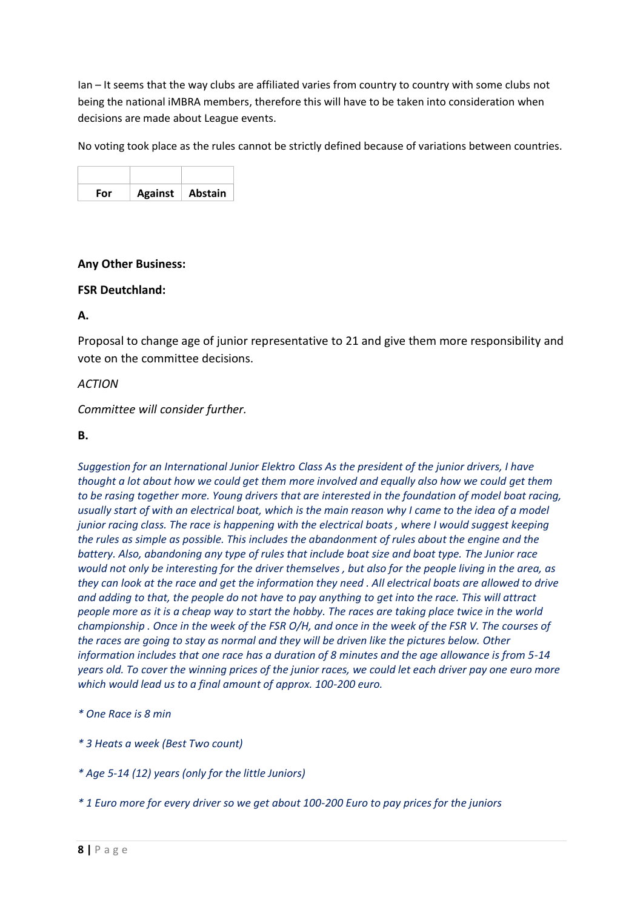Ian – It seems that the way clubs are affiliated varies from country to country with some clubs not being the national iMBRA members, therefore this will have to be taken into consideration when decisions are made about League events.

No voting took place as the rules cannot be strictly defined because of variations between countries.

| For | Against   Abstain |
|-----|-------------------|
|     |                   |

# **Any Other Business:**

### **FSR Deutchland:**

### **A.**

Proposal to change age of junior representative to 21 and give them more responsibility and vote on the committee decisions.

### *ACTION*

*Committee will consider further.*

# **B.**

*Suggestion for an International Junior Elektro Class As the president of the junior drivers, I have thought a lot about how we could get them more involved and equally also how we could get them to be rasing together more. Young drivers that are interested in the foundation of model boat racing, usually start of with an electrical boat, which is the main reason why I came to the idea of a model junior racing class. The race is happening with the electrical boats , where I would suggest keeping the rules as simple as possible. This includes the abandonment of rules about the engine and the battery. Also, abandoning any type of rules that include boat size and boat type. The Junior race would not only be interesting for the driver themselves , but also for the people living in the area, as they can look at the race and get the information they need . All electrical boats are allowed to drive and adding to that, the people do not have to pay anything to get into the race. This will attract people more as it is a cheap way to start the hobby. The races are taking place twice in the world championship . Once in the week of the FSR O/H, and once in the week of the FSR V. The courses of the races are going to stay as normal and they will be driven like the pictures below. Other information includes that one race has a duration of 8 minutes and the age allowance is from 5-14 years old. To cover the winning prices of the junior races, we could let each driver pay one euro more which would lead us to a final amount of approx. 100-200 euro.*

- *\* One Race is 8 min*
- *\* 3 Heats a week (Best Two count)*
- *\* Age 5-14 (12) years (only for the little Juniors)*
- *\* 1 Euro more for every driver so we get about 100-200 Euro to pay prices for the juniors*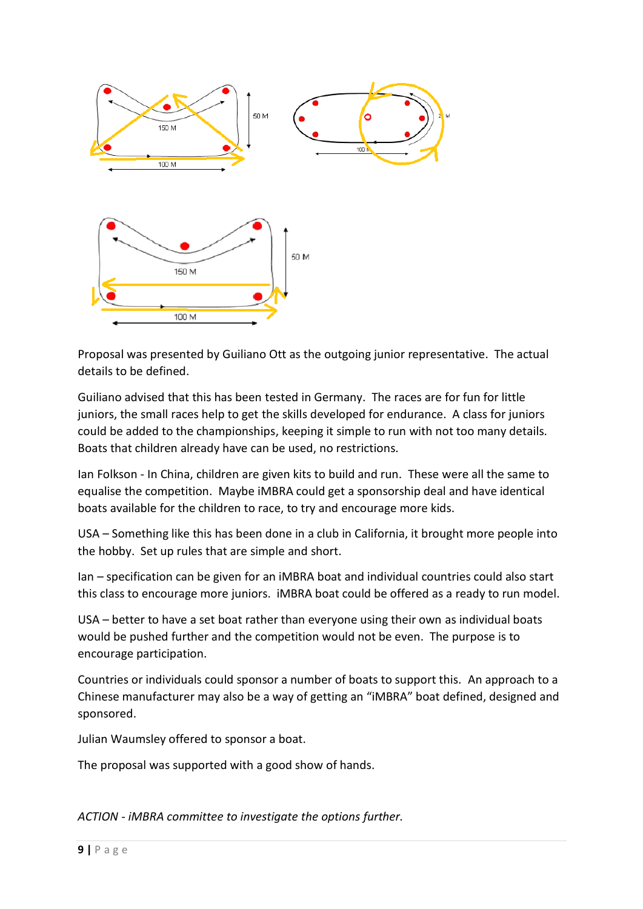

Proposal was presented by Guiliano Ott as the outgoing junior representative. The actual details to be defined.

Guiliano advised that this has been tested in Germany. The races are for fun for little juniors, the small races help to get the skills developed for endurance. A class for juniors could be added to the championships, keeping it simple to run with not too many details. Boats that children already have can be used, no restrictions.

Ian Folkson - In China, children are given kits to build and run. These were all the same to equalise the competition. Maybe iMBRA could get a sponsorship deal and have identical boats available for the children to race, to try and encourage more kids.

USA – Something like this has been done in a club in California, it brought more people into the hobby. Set up rules that are simple and short.

Ian – specification can be given for an iMBRA boat and individual countries could also start this class to encourage more juniors. iMBRA boat could be offered as a ready to run model.

USA – better to have a set boat rather than everyone using their own as individual boats would be pushed further and the competition would not be even. The purpose is to encourage participation.

Countries or individuals could sponsor a number of boats to support this. An approach to a Chinese manufacturer may also be a way of getting an "iMBRA" boat defined, designed and sponsored.

Julian Waumsley offered to sponsor a boat.

The proposal was supported with a good show of hands.

*ACTION - iMBRA committee to investigate the options further.*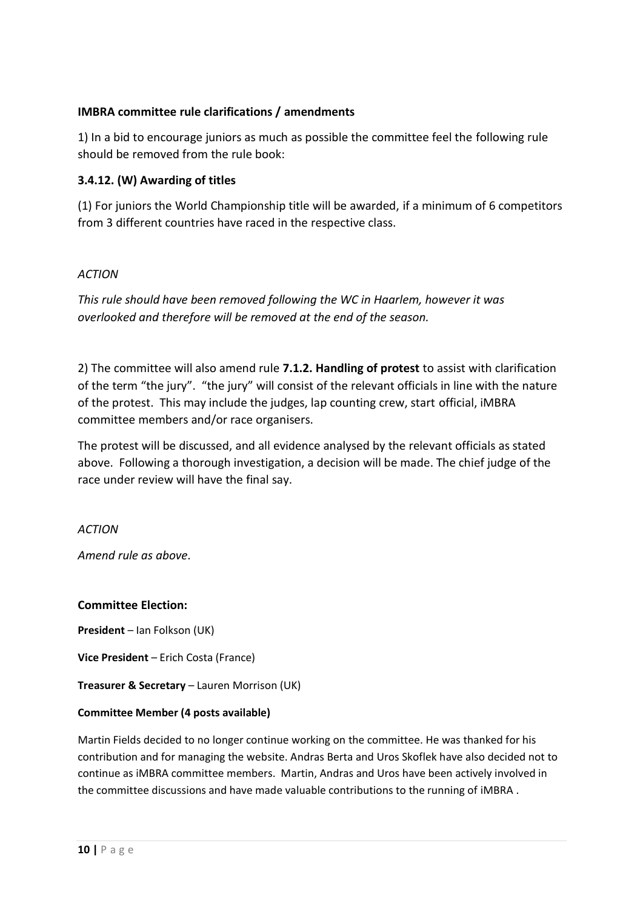# **IMBRA committee rule clarifications / amendments**

1) In a bid to encourage juniors as much as possible the committee feel the following rule should be removed from the rule book:

# **3.4.12. (W) Awarding of titles**

(1) For juniors the World Championship title will be awarded, if a minimum of 6 competitors from 3 different countries have raced in the respective class.

# *ACTION*

*This rule should have been removed following the WC in Haarlem, however it was overlooked and therefore will be removed at the end of the season.*

2) The committee will also amend rule **7.1.2. Handling of protest** to assist with clarification of the term "the jury". "the jury" will consist of the relevant officials in line with the nature of the protest. This may include the judges, lap counting crew, start official, iMBRA committee members and/or race organisers.

The protest will be discussed, and all evidence analysed by the relevant officials as stated above. Following a thorough investigation, a decision will be made. The chief judge of the race under review will have the final say.

*ACTION*

*Amend rule as above.*

**Committee Election:**

**President** – Ian Folkson (UK)

**Vice President** – Erich Costa (France)

**Treasurer & Secretary – Lauren Morrison (UK)** 

### **Committee Member (4 posts available)**

Martin Fields decided to no longer continue working on the committee. He was thanked for his contribution and for managing the website. Andras Berta and Uros Skoflek have also decided not to continue as iMBRA committee members. Martin, Andras and Uros have been actively involved in the committee discussions and have made valuable contributions to the running of iMBRA .